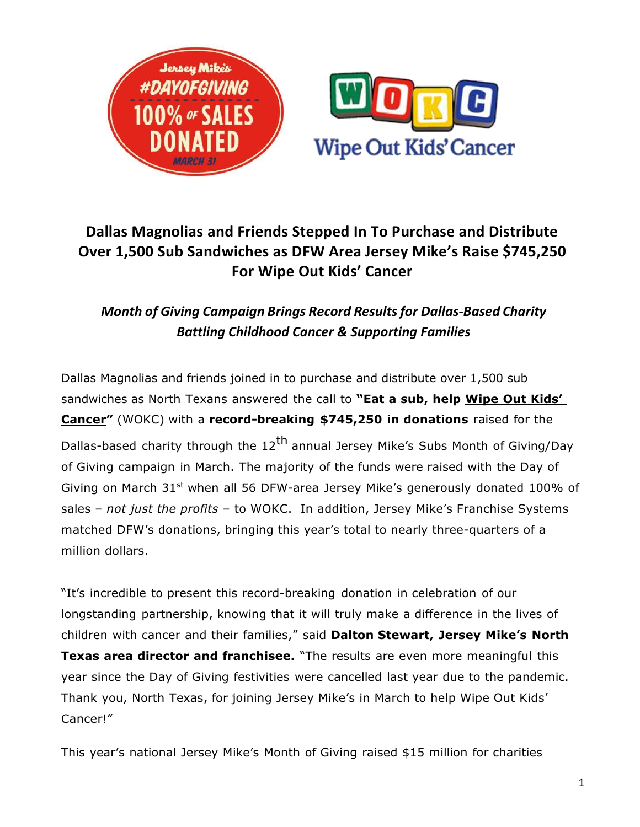

# **Dallas Magnolias and Friends Stepped In To Purchase and Distribute Over 1,500 Sub Sandwiches as DFW Area Jersey Mike's Raise \$745,250 For Wipe Out Kids' Cancer**

## *Month of Giving Campaign Brings Record Resultsfor Dallas-Based Charity Battling Childhood Cancer & Supporting Families*

Dallas Magnolias and friends joined in to purchase and distribute over 1,500 sub sandwiches as North Texans answered the call to **"Eat a sub, help Wipe Out Kids' Cancer"** (WOKC) with a **record-breaking \$745,250 in donations** raised for the Dallas-based charity through the 12<sup>th</sup> annual Jersey Mike's Subs Month of Giving/Day of Giving campaign in March. The majority of the funds were raised with the Day of Giving on March  $31^{st}$  when all 56 DFW-area Jersey Mike's generously donated 100% of sales – *not just the profits* – to WOKC. In addition, Jersey Mike's Franchise Systems matched DFW's donations, bringing this year's total to nearly three-quarters of a million dollars.

"It's incredible to present this record-breaking donation in celebration of our longstanding partnership, knowing that it will truly make a difference in the lives of children with cancer and their families," said **Dalton Stewart, Jersey Mike's North Texas area director and franchisee.** "The results are even more meaningful this year since the Day of Giving festivities were cancelled last year due to the pandemic. Thank you, North Texas, for joining Jersey Mike's in March to help Wipe Out Kids' Cancer!"

This year's national Jersey Mike's Month of Giving raised \$15 million for charities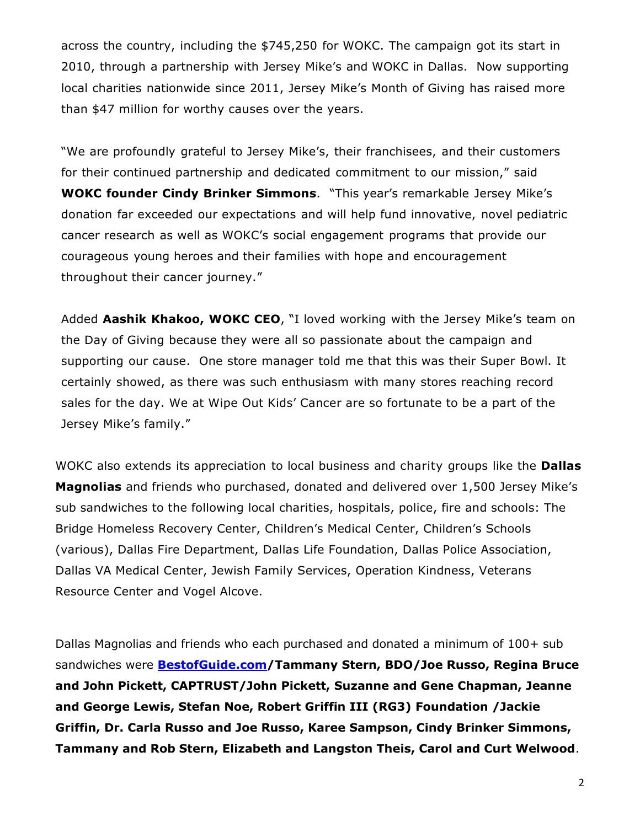across the country, including the \$745,250 for WOKC. The campaign got its start in 2010, through a partnership with Jersey Mike's and WOKC in Dallas. Now supporting local charities nationwide since 2011, Jersey Mike's Month of Giving has raised more than \$47 million for worthy causes over the years.

"We are profoundly grateful to Jersey Mike's, their franchisees, and their customers for their continued partnership and dedicated commitment to our mission," said **WOKC founder Cindy Brinker Simmons**. "This year's remarkable Jersey Mike's donation far exceeded our expectations and will help fund innovative, novel pediatric cancer research as well as WOKC's social engagement programs that provide our courageous young heroes and their families with hope and encouragement throughout their cancer journey."

Added **Aashik Khakoo, WOKC CEO**, "I loved working with the Jersey Mike's team on the Day of Giving because they were all so passionate about the campaign and supporting our cause. One store manager told me that this was their Super Bowl. It certainly showed, as there was such enthusiasm with many stores reaching record sales for the day. We at Wipe Out Kids' Cancer are so fortunate to be a part of the Jersey Mike's family."

WOKC also extends its appreciation to local business and charity groups like the **Dallas Magnolias** and friends who purchased, donated and delivered over 1,500 Jersey Mike's sub sandwiches to the following local charities, hospitals, police, fire and schools: The Bridge Homeless Recovery Center, Children's Medical Center, Children's Schools (various), Dallas Fire Department, Dallas Life Foundation, Dallas Police Association, Dallas VA Medical Center, Jewish Family Services, Operation Kindness, Veterans Resource Center and Vogel Alcove.

Dallas Magnolias and friends who each purchased and donated a minimum of 100+ sub sandwiches were **[BestofGuide.com/](http://bestofguide.com/)Tammany Stern, BDO/Joe Russo, Regina Bruce and John Pickett, CAPTRUST/John Pickett, Suzanne and Gene Chapman, Jeanne and George Lewis, Stefan Noe, Robert Griffin III (RG3) Foundation /Jackie Griffin, Dr. Carla Russo and Joe Russo, Karee Sampson, Cindy Brinker Simmons, Tammany and Rob Stern, Elizabeth and Langston Theis, Carol and Curt Welwood**.